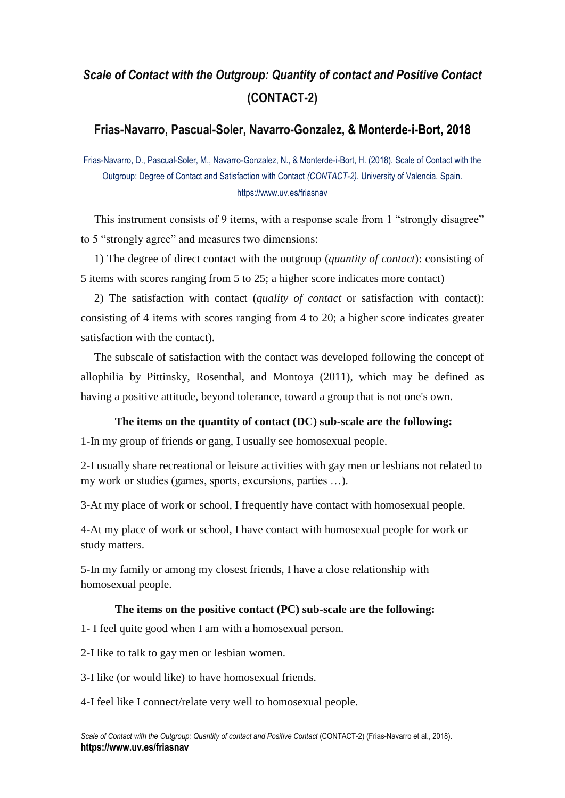# *Scale of Contact with the Outgroup: Quantity of contact and Positive Contact* **(CONTACT-2)**

## **Frias-Navarro, Pascual-Soler, Navarro-Gonzalez, & Monterde-i-Bort, 2018**

Frias-Navarro, D., Pascual-Soler, M., Navarro-Gonzalez, N., & Monterde-i-Bort, H. (2018). Scale of Contact with the Outgroup: Degree of Contact and Satisfaction with Contact *(CONTACT-2)*. University of Valencia. Spain. https://www.uv.es/friasnav

This instrument consists of 9 items, with a response scale from 1 "strongly disagree" to 5 "strongly agree" and measures two dimensions:

1) The degree of direct contact with the outgroup (*quantity of contact*): consisting of 5 items with scores ranging from 5 to 25; a higher score indicates more contact)

2) The satisfaction with contact (*quality of contact* or satisfaction with contact): consisting of 4 items with scores ranging from 4 to 20; a higher score indicates greater satisfaction with the contact).

The subscale of satisfaction with the contact was developed following the concept of allophilia by Pittinsky, Rosenthal, and Montoya (2011), which may be defined as having a positive attitude, beyond tolerance, toward a group that is not one's own.

### **The items on the quantity of contact (DC) sub-scale are the following:**

1-In my group of friends or gang, I usually see homosexual people.

2-I usually share recreational or leisure activities with gay men or lesbians not related to my work or studies (games, sports, excursions, parties …).

3-At my place of work or school, I frequently have contact with homosexual people.

4-At my place of work or school, I have contact with homosexual people for work or study matters.

5-In my family or among my closest friends, I have a close relationship with homosexual people.

#### **The items on the positive contact (PC) sub-scale are the following:**

1- I feel quite good when I am with a homosexual person.

2-I like to talk to gay men or lesbian women.

3-I like (or would like) to have homosexual friends.

4-I feel like I connect/relate very well to homosexual people.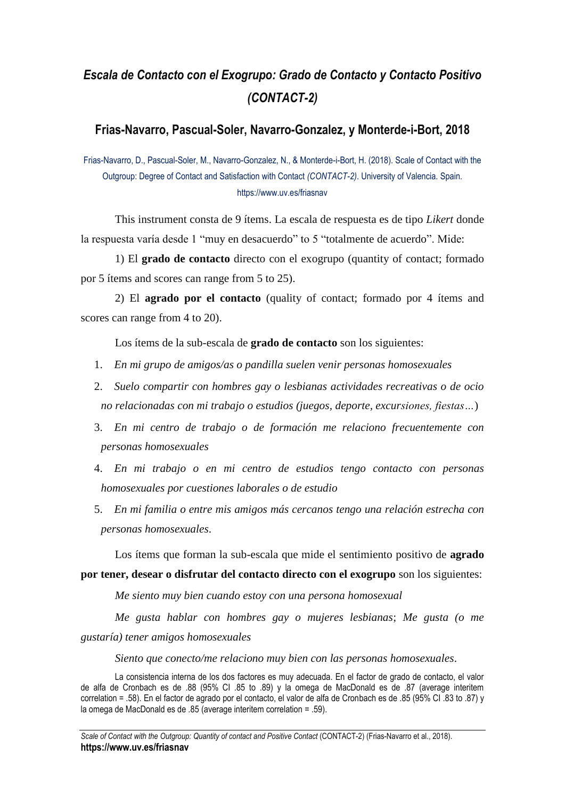# *Escala de Contacto con el Exogrupo: Grado de Contacto y Contacto Positivo (CONTACT-2)*

## **Frias-Navarro, Pascual-Soler, Navarro-Gonzalez, y Monterde-i-Bort, 2018**

Frias-Navarro, D., Pascual-Soler, M., Navarro-Gonzalez, N., & Monterde-i-Bort, H. (2018). Scale of Contact with the Outgroup: Degree of Contact and Satisfaction with Contact *(CONTACT-2)*. University of Valencia. Spain. https://www.uv.es/friasnav

This instrument consta de 9 ítems. La escala de respuesta es de tipo *Likert* donde la respuesta varía desde 1 "muy en desacuerdo" to 5 "totalmente de acuerdo". Mide:

1) El **grado de contacto** directo con el exogrupo (quantity of contact; formado por 5 ítems and scores can range from 5 to 25).

2) El **agrado por el contacto** (quality of contact; formado por 4 ítems and scores can range from 4 to 20).

Los ítems de la sub-escala de **grado de contacto** son los siguientes:

- 1. *En mi grupo de amigos/as o pandilla suelen venir personas homosexuales*
- 2. *Suelo compartir con hombres gay o lesbianas actividades recreativas o de ocio no relacionadas con mi trabajo o estudios (juegos, deporte, excursiones, fiestas…*)
- 3. *En mi centro de trabajo o de formación me relaciono frecuentemente con personas homosexuales*
- 4. *En mi trabajo o en mi centro de estudios tengo contacto con personas homosexuales por cuestiones laborales o de estudio*
- 5. *En mi familia o entre mis amigos más cercanos tengo una relación estrecha con personas homosexuales*.

Los ítems que forman la sub-escala que mide el sentimiento positivo de **agrado por tener, desear o disfrutar del contacto directo con el exogrupo** son los siguientes:

*Me siento muy bien cuando estoy con una persona homosexual*

*Me gusta hablar con hombres gay o mujeres lesbianas*; *Me gusta (o me gustaría) tener amigos homosexuales*

*Siento que conecto/me relaciono muy bien con las personas homosexuales*.

La consistencia interna de los dos factores es muy adecuada. En el factor de grado de contacto, el valor de alfa de Cronbach es de .88 (95% CI .85 to .89) y la omega de MacDonald es de .87 (average interitem correlation = .58). En el factor de agrado por el contacto, el valor de alfa de Cronbach es de .85 (95% CI .83 to .87) y la omega de MacDonald es de .85 (average interitem correlation = .59).